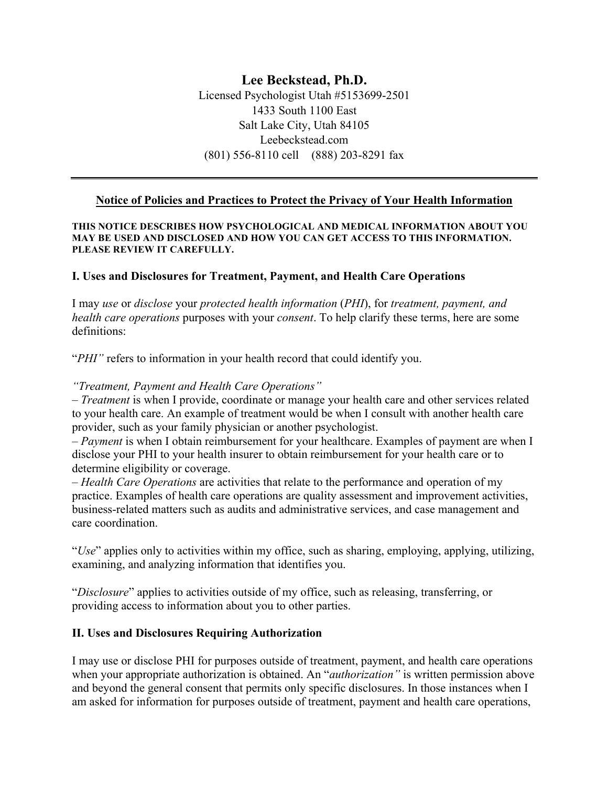**Lee Beckstead, Ph.D.** Licensed Psychologist Utah #5153699-2501 1433 South 1100 East Salt Lake City, Utah 84105 Leebeckstead.com (801) 556-8110 cell (888) 203-8291 fax

#### **Notice of Policies and Practices to Protect the Privacy of Your Health Information**

**THIS NOTICE DESCRIBES HOW PSYCHOLOGICAL AND MEDICAL INFORMATION ABOUT YOU MAY BE USED AND DISCLOSED AND HOW YOU CAN GET ACCESS TO THIS INFORMATION. PLEASE REVIEW IT CAREFULLY.** 

#### **I. Uses and Disclosures for Treatment, Payment, and Health Care Operations**

I may *use* or *disclose* your *protected health information* (*PHI*), for *treatment, payment, and health care operations* purposes with your *consent*. To help clarify these terms, here are some definitions:

"*PHI*" refers to information in your health record that could identify you.

#### *"Treatment, Payment and Health Care Operations"*

– *Treatment* is when I provide, coordinate or manage your health care and other services related to your health care. An example of treatment would be when I consult with another health care provider, such as your family physician or another psychologist.

– *Payment* is when I obtain reimbursement for your healthcare. Examples of payment are when I disclose your PHI to your health insurer to obtain reimbursement for your health care or to determine eligibility or coverage.

– *Health Care Operations* are activities that relate to the performance and operation of my practice. Examples of health care operations are quality assessment and improvement activities, business-related matters such as audits and administrative services, and case management and care coordination.

"*Use*" applies only to activities within my office, such as sharing, employing, applying, utilizing, examining, and analyzing information that identifies you.

"*Disclosure*" applies to activities outside of my office, such as releasing, transferring, or providing access to information about you to other parties.

#### **II. Uses and Disclosures Requiring Authorization**

I may use or disclose PHI for purposes outside of treatment, payment, and health care operations when your appropriate authorization is obtained. An "*authorization"* is written permission above and beyond the general consent that permits only specific disclosures. In those instances when I am asked for information for purposes outside of treatment, payment and health care operations,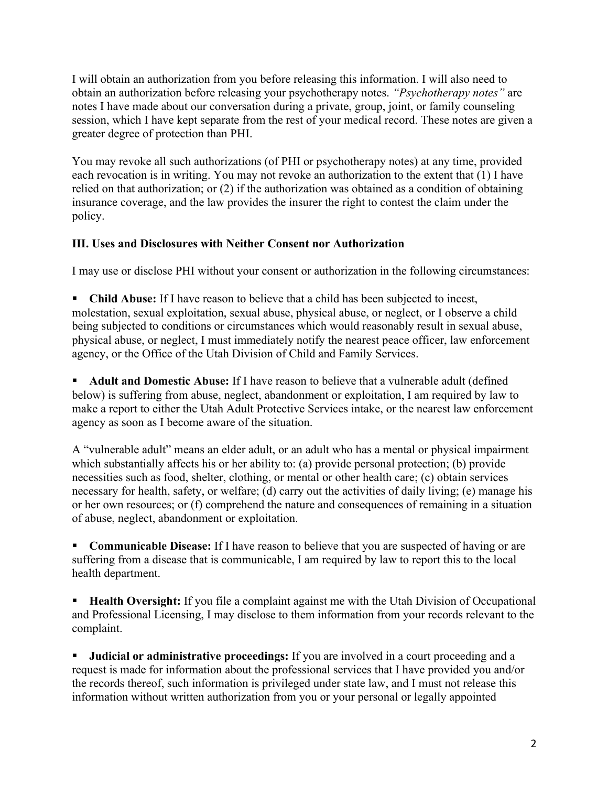I will obtain an authorization from you before releasing this information. I will also need to obtain an authorization before releasing your psychotherapy notes. *"Psychotherapy notes"* are notes I have made about our conversation during a private, group, joint, or family counseling session, which I have kept separate from the rest of your medical record. These notes are given a greater degree of protection than PHI.

You may revoke all such authorizations (of PHI or psychotherapy notes) at any time, provided each revocation is in writing. You may not revoke an authorization to the extent that (1) I have relied on that authorization; or (2) if the authorization was obtained as a condition of obtaining insurance coverage, and the law provides the insurer the right to contest the claim under the policy.

# **III. Uses and Disclosures with Neither Consent nor Authorization**

I may use or disclose PHI without your consent or authorization in the following circumstances:

■ **Child Abuse:** If I have reason to believe that a child has been subjected to incest, molestation, sexual exploitation, sexual abuse, physical abuse, or neglect, or I observe a child being subjected to conditions or circumstances which would reasonably result in sexual abuse, physical abuse, or neglect, I must immediately notify the nearest peace officer, law enforcement agency, or the Office of the Utah Division of Child and Family Services.

§ **Adult and Domestic Abuse:** If I have reason to believe that a vulnerable adult (defined below) is suffering from abuse, neglect, abandonment or exploitation, I am required by law to make a report to either the Utah Adult Protective Services intake, or the nearest law enforcement agency as soon as I become aware of the situation.

A "vulnerable adult" means an elder adult, or an adult who has a mental or physical impairment which substantially affects his or her ability to: (a) provide personal protection; (b) provide necessities such as food, shelter, clothing, or mental or other health care; (c) obtain services necessary for health, safety, or welfare; (d) carry out the activities of daily living; (e) manage his or her own resources; or (f) comprehend the nature and consequences of remaining in a situation of abuse, neglect, abandonment or exploitation.

■ **Communicable Disease:** If I have reason to believe that you are suspected of having or are suffering from a disease that is communicable, I am required by law to report this to the local health department.

■ **Health Oversight:** If you file a complaint against me with the Utah Division of Occupational and Professional Licensing, I may disclose to them information from your records relevant to the complaint.

**Judicial or administrative proceedings:** If you are involved in a court proceeding and a request is made for information about the professional services that I have provided you and/or the records thereof, such information is privileged under state law, and I must not release this information without written authorization from you or your personal or legally appointed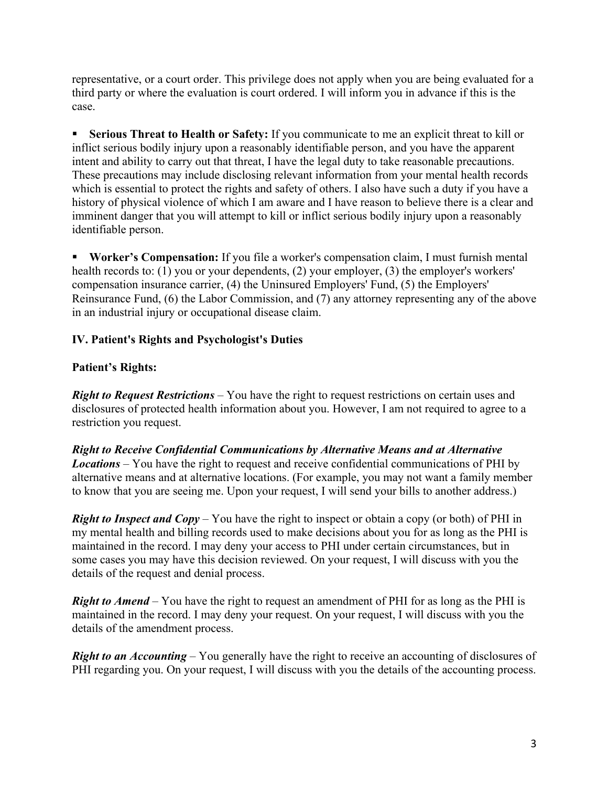representative, or a court order. This privilege does not apply when you are being evaluated for a third party or where the evaluation is court ordered. I will inform you in advance if this is the case.

§ **Serious Threat to Health or Safety:** If you communicate to me an explicit threat to kill or inflict serious bodily injury upon a reasonably identifiable person, and you have the apparent intent and ability to carry out that threat, I have the legal duty to take reasonable precautions. These precautions may include disclosing relevant information from your mental health records which is essential to protect the rights and safety of others. I also have such a duty if you have a history of physical violence of which I am aware and I have reason to believe there is a clear and imminent danger that you will attempt to kill or inflict serious bodily injury upon a reasonably identifiable person.

§ **Worker's Compensation:** If you file a worker's compensation claim, I must furnish mental health records to: (1) you or your dependents, (2) your employer, (3) the employer's workers' compensation insurance carrier, (4) the Uninsured Employers' Fund, (5) the Employers' Reinsurance Fund, (6) the Labor Commission, and (7) any attorney representing any of the above in an industrial injury or occupational disease claim.

# **IV. Patient's Rights and Psychologist's Duties**

# **Patient's Rights:**

*Right to Request Restrictions* – You have the right to request restrictions on certain uses and disclosures of protected health information about you. However, I am not required to agree to a restriction you request.

*Right to Receive Confidential Communications by Alternative Means and at Alternative Locations* – You have the right to request and receive confidential communications of PHI by alternative means and at alternative locations. (For example, you may not want a family member to know that you are seeing me. Upon your request, I will send your bills to another address.)

*Right to Inspect and Copy* – You have the right to inspect or obtain a copy (or both) of PHI in my mental health and billing records used to make decisions about you for as long as the PHI is maintained in the record. I may deny your access to PHI under certain circumstances, but in some cases you may have this decision reviewed. On your request, I will discuss with you the details of the request and denial process.

*Right to Amend* – You have the right to request an amendment of PHI for as long as the PHI is maintained in the record. I may deny your request. On your request, I will discuss with you the details of the amendment process.

*Right to an Accounting* – You generally have the right to receive an accounting of disclosures of PHI regarding you. On your request, I will discuss with you the details of the accounting process.